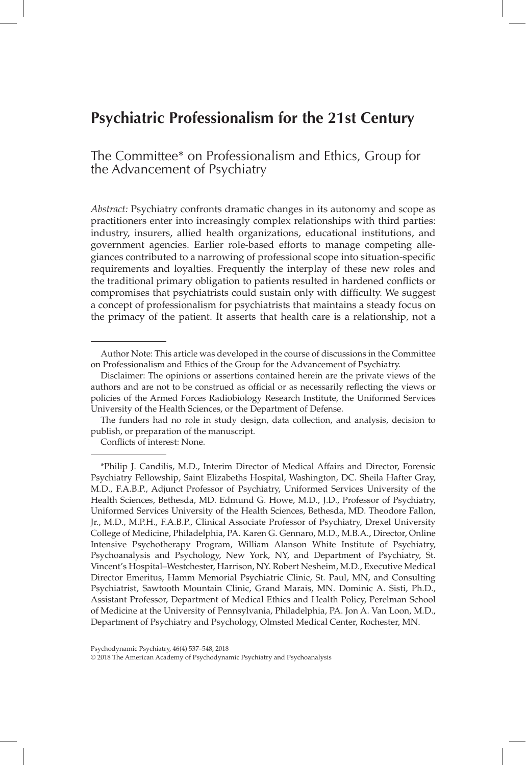# **Psychiatric Professionalism for the 21st Century**

The Committee\* on Professionalism and Ethics, Group for the Advancement of Psychiatry

*Abstract:* Psychiatry confronts dramatic changes in its autonomy and scope as practitioners enter into increasingly complex relationships with third parties: industry, insurers, allied health organizations, educational institutions, and government agencies. Earlier role-based efforts to manage competing allegiances contributed to a narrowing of professional scope into situation-specific requirements and loyalties. Frequently the interplay of these new roles and the traditional primary obligation to patients resulted in hardened conflicts or compromises that psychiatrists could sustain only with difficulty. We suggest a concept of professionalism for psychiatrists that maintains a steady focus on the primacy of the patient. It asserts that health care is a relationship, not a

The funders had no role in study design, data collection, and analysis, decision to publish, or preparation of the manuscript.

Conflicts of interest: None.

\*Philip J. Candilis, M.D., Interim Director of Medical Affairs and Director, Forensic Psychiatry Fellowship, Saint Elizabeths Hospital, Washington, DC. Sheila Hafter Gray, M.D., F.A.B.P., Adjunct Professor of Psychiatry, Uniformed Services University of the Health Sciences, Bethesda, MD. Edmund G. Howe, M.D., J.D., Professor of Psychiatry, Uniformed Services University of the Health Sciences, Bethesda, MD. Theodore Fallon, Jr., M.D., M.P.H., F.A.B.P., Clinical Associate Professor of Psychiatry, Drexel University College of Medicine, Philadelphia, PA. Karen G. Gennaro, M.D., M.B.A., Director, Online Intensive Psychotherapy Program, William Alanson White Institute of Psychiatry, Psychoanalysis and Psychology, New York, NY, and Department of Psychiatry, St. Vincent's Hospital–Westchester, Harrison, NY. Robert Nesheim, M.D., Executive Medical Director Emeritus, Hamm Memorial Psychiatric Clinic, St. Paul, MN, and Consulting Psychiatrist, Sawtooth Mountain Clinic, Grand Marais, MN. Dominic A. Sisti, Ph.D., Assistant Professor, Department of Medical Ethics and Health Policy, Perelman School of Medicine at the University of Pennsylvania, Philadelphia, PA. Jon A. Van Loon, M.D., Department of Psychiatry and Psychology, Olmsted Medical Center, Rochester, MN.

Psychodynamic Psychiatry, 46(4) 537–548, 2018

© 2018 The American Academy of Psychodynamic Psychiatry and Psychoanalysis

Author Note: This article was developed in the course of discussions in the Committee on Professionalism and Ethics of the Group for the Advancement of Psychiatry.

Disclaimer: The opinions or assertions contained herein are the private views of the authors and are not to be construed as official or as necessarily reflecting the views or policies of the Armed Forces Radiobiology Research Institute, the Uniformed Services University of the Health Sciences, or the Department of Defense.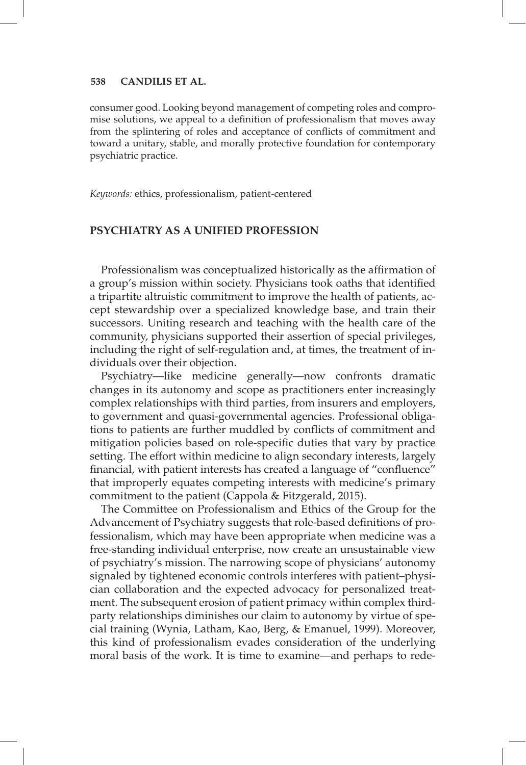consumer good. Looking beyond management of competing roles and compromise solutions, we appeal to a definition of professionalism that moves away from the splintering of roles and acceptance of conflicts of commitment and toward a unitary, stable, and morally protective foundation for contemporary psychiatric practice.

*Keywords:* ethics, professionalism, patient-centered

# **PSYCHIATRY AS A UNIFIED PROFESSION**

Professionalism was conceptualized historically as the affirmation of a group's mission within society. Physicians took oaths that identified a tripartite altruistic commitment to improve the health of patients, accept stewardship over a specialized knowledge base, and train their successors. Uniting research and teaching with the health care of the community, physicians supported their assertion of special privileges, including the right of self-regulation and, at times, the treatment of individuals over their objection.

Psychiatry—like medicine generally—now confronts dramatic changes in its autonomy and scope as practitioners enter increasingly complex relationships with third parties, from insurers and employers, to government and quasi-governmental agencies. Professional obligations to patients are further muddled by conflicts of commitment and mitigation policies based on role-specific duties that vary by practice setting. The effort within medicine to align secondary interests, largely financial, with patient interests has created a language of "confluence" that improperly equates competing interests with medicine's primary commitment to the patient (Cappola & Fitzgerald, 2015).

The Committee on Professionalism and Ethics of the Group for the Advancement of Psychiatry suggests that role-based definitions of professionalism, which may have been appropriate when medicine was a free-standing individual enterprise, now create an unsustainable view of psychiatry's mission. The narrowing scope of physicians' autonomy signaled by tightened economic controls interferes with patient–physician collaboration and the expected advocacy for personalized treatment. The subsequent erosion of patient primacy within complex thirdparty relationships diminishes our claim to autonomy by virtue of special training (Wynia, Latham, Kao, Berg, & Emanuel, 1999). Moreover, this kind of professionalism evades consideration of the underlying moral basis of the work. It is time to examine—and perhaps to rede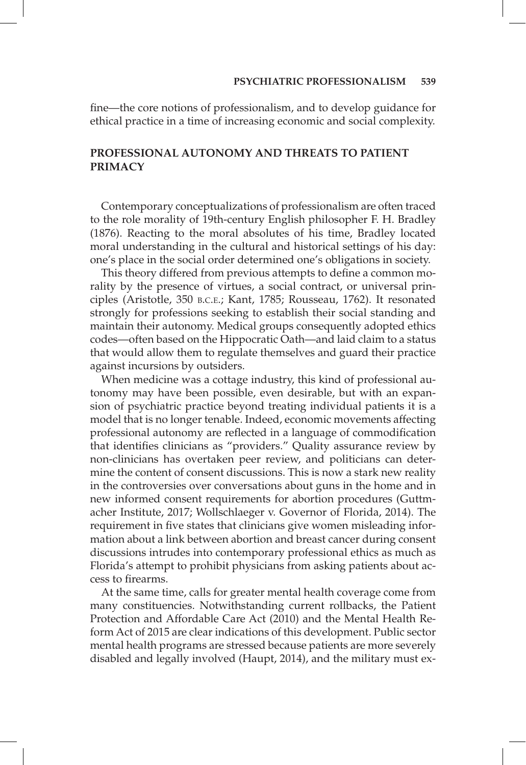fine—the core notions of professionalism, and to develop guidance for ethical practice in a time of increasing economic and social complexity.

# **PROFESSIONAL AUTONOMY AND THREATS TO PATIENT PRIMACY**

Contemporary conceptualizations of professionalism are often traced to the role morality of 19th-century English philosopher F. H. Bradley (1876). Reacting to the moral absolutes of his time, Bradley located moral understanding in the cultural and historical settings of his day: one's place in the social order determined one's obligations in society.

This theory differed from previous attempts to define a common morality by the presence of virtues, a social contract, or universal principles (Aristotle, 350 b.c.e.; Kant, 1785; Rousseau, 1762). It resonated strongly for professions seeking to establish their social standing and maintain their autonomy. Medical groups consequently adopted ethics codes—often based on the Hippocratic Oath—and laid claim to a status that would allow them to regulate themselves and guard their practice against incursions by outsiders.

When medicine was a cottage industry, this kind of professional autonomy may have been possible, even desirable, but with an expansion of psychiatric practice beyond treating individual patients it is a model that is no longer tenable. Indeed, economic movements affecting professional autonomy are reflected in a language of commodification that identifies clinicians as "providers." Quality assurance review by non-clinicians has overtaken peer review, and politicians can determine the content of consent discussions. This is now a stark new reality in the controversies over conversations about guns in the home and in new informed consent requirements for abortion procedures (Guttmacher Institute, 2017; Wollschlaeger v. Governor of Florida, 2014). The requirement in five states that clinicians give women misleading information about a link between abortion and breast cancer during consent discussions intrudes into contemporary professional ethics as much as Florida's attempt to prohibit physicians from asking patients about access to firearms.

At the same time, calls for greater mental health coverage come from many constituencies. Notwithstanding current rollbacks, the Patient Protection and Affordable Care Act (2010) and the Mental Health Reform Act of 2015 are clear indications of this development. Public sector mental health programs are stressed because patients are more severely disabled and legally involved (Haupt, 2014), and the military must ex-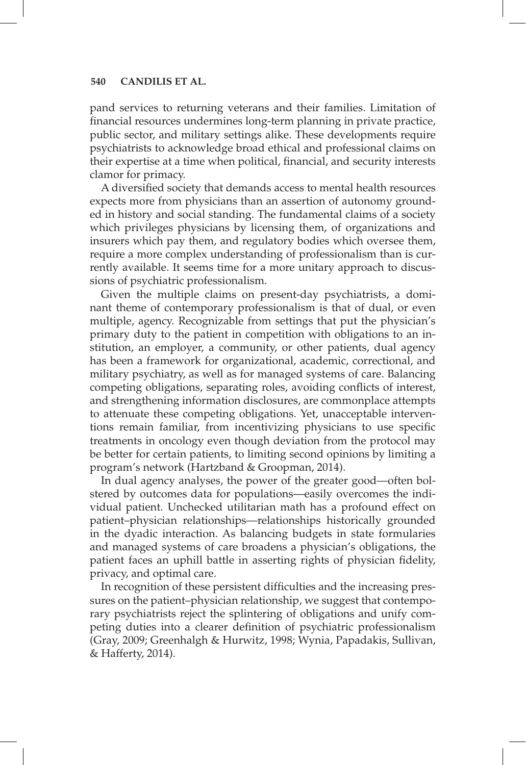pand services to returning veterans and their families. Limitation of financial resources undermines long-term planning in private practice, public sector, and military settings alike. These developments require psychiatrists to acknowledge broad ethical and professional claims on their expertise at a time when political, financial, and security interests clamor for primacy.

A diversified society that demands access to mental health resources expects more from physicians than an assertion of autonomy grounded in history and social standing. The fundamental claims of a society which privileges physicians by licensing them, of organizations and insurers which pay them, and regulatory bodies which oversee them, require a more complex understanding of professionalism than is currently available. It seems time for a more unitary approach to discussions of psychiatric professionalism.

Given the multiple claims on present-day psychiatrists, a dominant theme of contemporary professionalism is that of dual, or even multiple, agency. Recognizable from settings that put the physician's primary duty to the patient in competition with obligations to an institution, an employer, a community, or other patients, dual agency has been a framework for organizational, academic, correctional, and military psychiatry, as well as for managed systems of care. Balancing competing obligations, separating roles, avoiding conflicts of interest, and strengthening information disclosures, are commonplace attempts to attenuate these competing obligations. Yet, unacceptable interventions remain familiar, from incentivizing physicians to use specific treatments in oncology even though deviation from the protocol may be better for certain patients, to limiting second opinions by limiting a program's network (Hartzband & Groopman, 2014).

In dual agency analyses, the power of the greater good—often bolstered by outcomes data for populations—easily overcomes the individual patient. Unchecked utilitarian math has a profound effect on patient–physician relationships—relationships historically grounded in the dyadic interaction. As balancing budgets in state formularies and managed systems of care broadens a physician's obligations, the patient faces an uphill battle in asserting rights of physician fidelity, privacy, and optimal care.

In recognition of these persistent difficulties and the increasing pressures on the patient–physician relationship, we suggest that contemporary psychiatrists reject the splintering of obligations and unify competing duties into a clearer definition of psychiatric professionalism (Gray, 2009; Greenhalgh & Hurwitz, 1998; Wynia, Papadakis, Sullivan, & Hafferty, 2014).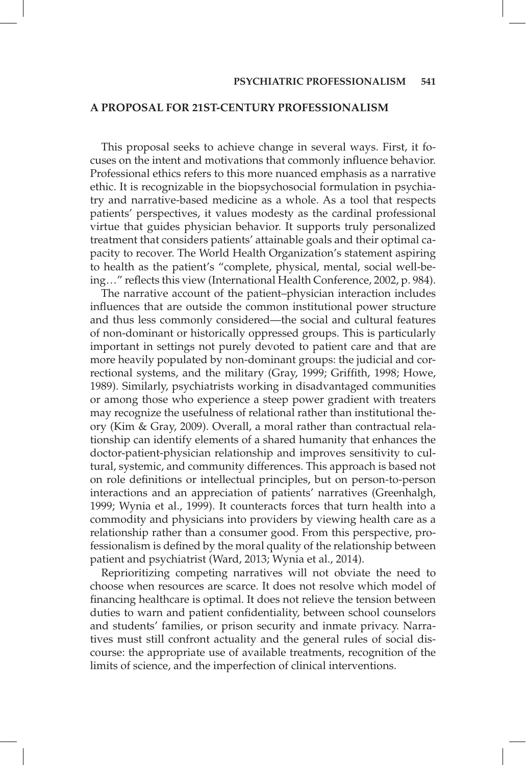# **A PROPOSAL FOR 21ST-CENTURY PROFESSIONALISM**

This proposal seeks to achieve change in several ways. First, it focuses on the intent and motivations that commonly influence behavior. Professional ethics refers to this more nuanced emphasis as a narrative ethic. It is recognizable in the biopsychosocial formulation in psychiatry and narrative-based medicine as a whole. As a tool that respects patients' perspectives, it values modesty as the cardinal professional virtue that guides physician behavior. It supports truly personalized treatment that considers patients' attainable goals and their optimal capacity to recover. The World Health Organization's statement aspiring to health as the patient's "complete, physical, mental, social well-being…" reflects this view (International Health Conference, 2002, p. 984).

The narrative account of the patient–physician interaction includes influences that are outside the common institutional power structure and thus less commonly considered—the social and cultural features of non-dominant or historically oppressed groups. This is particularly important in settings not purely devoted to patient care and that are more heavily populated by non-dominant groups: the judicial and correctional systems, and the military (Gray, 1999; Griffith, 1998; Howe, 1989). Similarly, psychiatrists working in disadvantaged communities or among those who experience a steep power gradient with treaters may recognize the usefulness of relational rather than institutional theory (Kim & Gray, 2009). Overall, a moral rather than contractual relationship can identify elements of a shared humanity that enhances the doctor-patient-physician relationship and improves sensitivity to cultural, systemic, and community differences. This approach is based not on role definitions or intellectual principles, but on person-to-person interactions and an appreciation of patients' narratives (Greenhalgh, 1999; Wynia et al., 1999). It counteracts forces that turn health into a commodity and physicians into providers by viewing health care as a relationship rather than a consumer good. From this perspective, professionalism is defined by the moral quality of the relationship between patient and psychiatrist (Ward, 2013; Wynia et al., 2014).

Reprioritizing competing narratives will not obviate the need to choose when resources are scarce. It does not resolve which model of financing healthcare is optimal. It does not relieve the tension between duties to warn and patient confidentiality, between school counselors and students' families, or prison security and inmate privacy. Narratives must still confront actuality and the general rules of social discourse: the appropriate use of available treatments, recognition of the limits of science, and the imperfection of clinical interventions.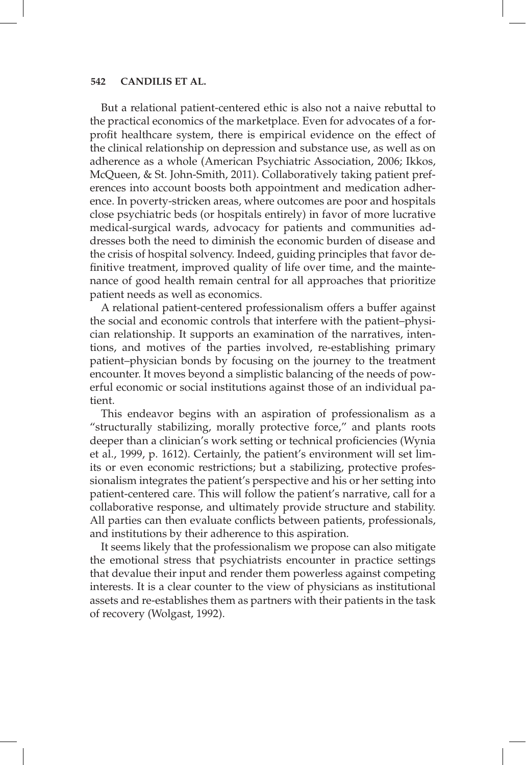But a relational patient-centered ethic is also not a naive rebuttal to the practical economics of the marketplace. Even for advocates of a forprofit healthcare system, there is empirical evidence on the effect of the clinical relationship on depression and substance use, as well as on adherence as a whole (American Psychiatric Association, 2006; Ikkos, McQueen, & St. John-Smith, 2011). Collaboratively taking patient preferences into account boosts both appointment and medication adherence. In poverty-stricken areas, where outcomes are poor and hospitals close psychiatric beds (or hospitals entirely) in favor of more lucrative medical-surgical wards, advocacy for patients and communities addresses both the need to diminish the economic burden of disease and the crisis of hospital solvency. Indeed, guiding principles that favor definitive treatment, improved quality of life over time, and the maintenance of good health remain central for all approaches that prioritize patient needs as well as economics.

A relational patient-centered professionalism offers a buffer against the social and economic controls that interfere with the patient–physician relationship. It supports an examination of the narratives, intentions, and motives of the parties involved, re-establishing primary patient–physician bonds by focusing on the journey to the treatment encounter. It moves beyond a simplistic balancing of the needs of powerful economic or social institutions against those of an individual patient.

This endeavor begins with an aspiration of professionalism as a "structurally stabilizing, morally protective force," and plants roots deeper than a clinician's work setting or technical proficiencies (Wynia et al., 1999, p. 1612). Certainly, the patient's environment will set limits or even economic restrictions; but a stabilizing, protective professionalism integrates the patient's perspective and his or her setting into patient-centered care. This will follow the patient's narrative, call for a collaborative response, and ultimately provide structure and stability. All parties can then evaluate conflicts between patients, professionals, and institutions by their adherence to this aspiration.

It seems likely that the professionalism we propose can also mitigate the emotional stress that psychiatrists encounter in practice settings that devalue their input and render them powerless against competing interests. It is a clear counter to the view of physicians as institutional assets and re-establishes them as partners with their patients in the task of recovery (Wolgast, 1992).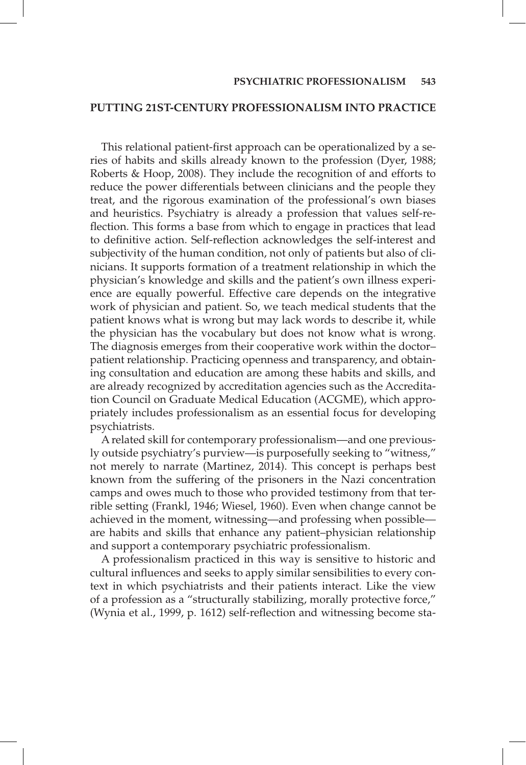# **PUTTING 21ST-CENTURY PROFESSIONALISM INTO PRACTICE**

This relational patient-first approach can be operationalized by a series of habits and skills already known to the profession (Dyer, 1988; Roberts & Hoop, 2008). They include the recognition of and efforts to reduce the power differentials between clinicians and the people they treat, and the rigorous examination of the professional's own biases and heuristics. Psychiatry is already a profession that values self-reflection. This forms a base from which to engage in practices that lead to definitive action. Self-reflection acknowledges the self-interest and subjectivity of the human condition, not only of patients but also of clinicians. It supports formation of a treatment relationship in which the physician's knowledge and skills and the patient's own illness experience are equally powerful. Effective care depends on the integrative work of physician and patient. So, we teach medical students that the patient knows what is wrong but may lack words to describe it, while the physician has the vocabulary but does not know what is wrong. The diagnosis emerges from their cooperative work within the doctor– patient relationship. Practicing openness and transparency, and obtaining consultation and education are among these habits and skills, and are already recognized by accreditation agencies such as the Accreditation Council on Graduate Medical Education (ACGME), which appropriately includes professionalism as an essential focus for developing psychiatrists.

A related skill for contemporary professionalism—and one previously outside psychiatry's purview—is purposefully seeking to "witness," not merely to narrate (Martinez, 2014). This concept is perhaps best known from the suffering of the prisoners in the Nazi concentration camps and owes much to those who provided testimony from that terrible setting (Frankl, 1946; Wiesel, 1960). Even when change cannot be achieved in the moment, witnessing—and professing when possible are habits and skills that enhance any patient–physician relationship and support a contemporary psychiatric professionalism.

A professionalism practiced in this way is sensitive to historic and cultural influences and seeks to apply similar sensibilities to every context in which psychiatrists and their patients interact. Like the view of a profession as a "structurally stabilizing, morally protective force," (Wynia et al., 1999, p. 1612) self-reflection and witnessing become sta-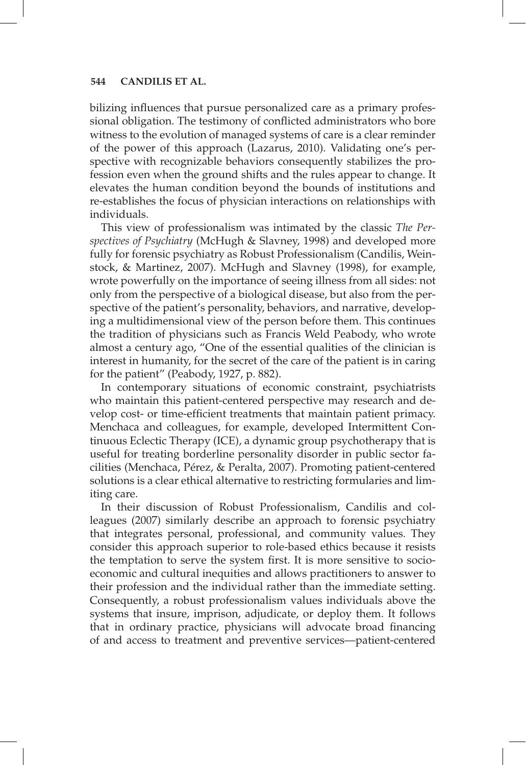bilizing influences that pursue personalized care as a primary professional obligation. The testimony of conflicted administrators who bore witness to the evolution of managed systems of care is a clear reminder of the power of this approach (Lazarus, 2010). Validating one's perspective with recognizable behaviors consequently stabilizes the profession even when the ground shifts and the rules appear to change. It elevates the human condition beyond the bounds of institutions and re-establishes the focus of physician interactions on relationships with individuals.

This view of professionalism was intimated by the classic *The Perspectives of Psychiatry* (McHugh & Slavney, 1998) and developed more fully for forensic psychiatry as Robust Professionalism (Candilis, Weinstock, & Martinez, 2007). McHugh and Slavney (1998), for example, wrote powerfully on the importance of seeing illness from all sides: not only from the perspective of a biological disease, but also from the perspective of the patient's personality, behaviors, and narrative, developing a multidimensional view of the person before them. This continues the tradition of physicians such as Francis Weld Peabody, who wrote almost a century ago, "One of the essential qualities of the clinician is interest in humanity, for the secret of the care of the patient is in caring for the patient" (Peabody, 1927, p. 882).

In contemporary situations of economic constraint, psychiatrists who maintain this patient-centered perspective may research and develop cost- or time-efficient treatments that maintain patient primacy. Menchaca and colleagues, for example, developed Intermittent Continuous Eclectic Therapy (ICE), a dynamic group psychotherapy that is useful for treating borderline personality disorder in public sector facilities (Menchaca, Pérez, & Peralta, 2007). Promoting patient-centered solutions is a clear ethical alternative to restricting formularies and limiting care.

In their discussion of Robust Professionalism, Candilis and colleagues (2007) similarly describe an approach to forensic psychiatry that integrates personal, professional, and community values. They consider this approach superior to role-based ethics because it resists the temptation to serve the system first. It is more sensitive to socioeconomic and cultural inequities and allows practitioners to answer to their profession and the individual rather than the immediate setting. Consequently, a robust professionalism values individuals above the systems that insure, imprison, adjudicate, or deploy them. It follows that in ordinary practice, physicians will advocate broad financing of and access to treatment and preventive services—patient-centered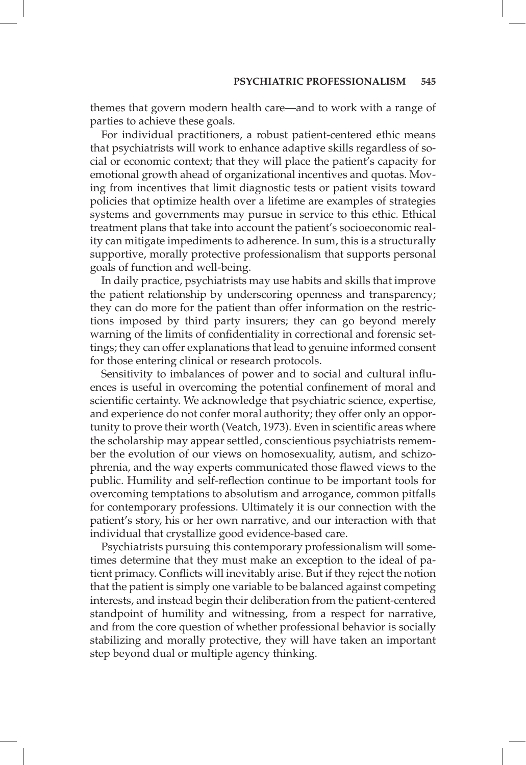themes that govern modern health care—and to work with a range of parties to achieve these goals.

For individual practitioners, a robust patient-centered ethic means that psychiatrists will work to enhance adaptive skills regardless of social or economic context; that they will place the patient's capacity for emotional growth ahead of organizational incentives and quotas. Moving from incentives that limit diagnostic tests or patient visits toward policies that optimize health over a lifetime are examples of strategies systems and governments may pursue in service to this ethic. Ethical treatment plans that take into account the patient's socioeconomic reality can mitigate impediments to adherence. In sum, this is a structurally supportive, morally protective professionalism that supports personal goals of function and well-being.

In daily practice, psychiatrists may use habits and skills that improve the patient relationship by underscoring openness and transparency; they can do more for the patient than offer information on the restrictions imposed by third party insurers; they can go beyond merely warning of the limits of confidentiality in correctional and forensic settings; they can offer explanations that lead to genuine informed consent for those entering clinical or research protocols.

Sensitivity to imbalances of power and to social and cultural influences is useful in overcoming the potential confinement of moral and scientific certainty. We acknowledge that psychiatric science, expertise, and experience do not confer moral authority; they offer only an opportunity to prove their worth (Veatch, 1973). Even in scientific areas where the scholarship may appear settled, conscientious psychiatrists remember the evolution of our views on homosexuality, autism, and schizophrenia, and the way experts communicated those flawed views to the public. Humility and self-reflection continue to be important tools for overcoming temptations to absolutism and arrogance, common pitfalls for contemporary professions. Ultimately it is our connection with the patient's story, his or her own narrative, and our interaction with that individual that crystallize good evidence-based care.

Psychiatrists pursuing this contemporary professionalism will sometimes determine that they must make an exception to the ideal of patient primacy. Conflicts will inevitably arise. But if they reject the notion that the patient is simply one variable to be balanced against competing interests, and instead begin their deliberation from the patient-centered standpoint of humility and witnessing, from a respect for narrative, and from the core question of whether professional behavior is socially stabilizing and morally protective, they will have taken an important step beyond dual or multiple agency thinking.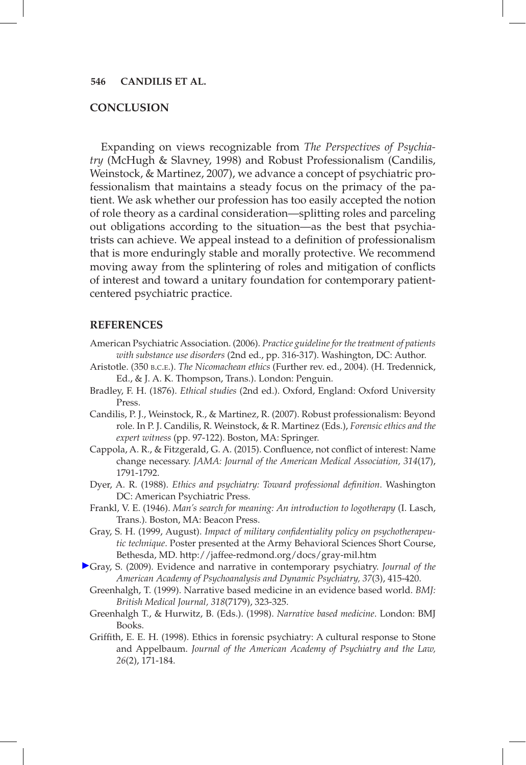#### **CONCLUSION**

Expanding on views recognizable from *The Perspectives of Psychiatry* (McHugh & Slavney, 1998) and Robust Professionalism (Candilis, Weinstock, & Martinez, 2007), we advance a concept of psychiatric professionalism that maintains a steady focus on the primacy of the patient. We ask whether our profession has too easily accepted the notion of role theory as a cardinal consideration—splitting roles and parceling out obligations according to the situation—as the best that psychiatrists can achieve. We appeal instead to a definition of professionalism that is more enduringly stable and morally protective. We recommend moving away from the splintering of roles and mitigation of conflicts of interest and toward a unitary foundation for contemporary patientcentered psychiatric practice.

#### **REFERENCES**

- American Psychiatric Association. (2006). *Practice guideline for the treatment of patients with substance use disorders* (2nd ed., pp. 316-317). Washington, DC: Author.
- Aristotle. (350 b.c.e.). *The Nicomachean ethics* (Further rev. ed., 2004). (H. Tredennick, Ed., & J. A. K. Thompson, Trans.). London: Penguin.
- Bradley, F. H. (1876). *Ethical studies* (2nd ed.). Oxford, England: Oxford University Press.
- Candilis, P. J., Weinstock, R., & Martinez, R. (2007). Robust professionalism: Beyond role. In P. J. Candilis, R. Weinstock, & R. Martinez (Eds.), *Forensic ethics and the expert witness* (pp. 97-122). Boston, MA: Springer.
- Cappola, A. R., & Fitzgerald, G. A. (2015). Confluence, not conflict of interest: Name change necessary. *JAMA: Journal of the American Medical Association, 314*(17), 1791-1792.
- Dyer, A. R. (1988). *Ethics and psychiatry: Toward professional definition*. Washington DC: American Psychiatric Press.
- Frankl, V. E. (1946). *Man's search for meaning: An introduction to logotherapy* (I. Lasch, Trans.). Boston, MA: Beacon Press.
- Gray, S. H. (1999, August). *Impact of military confidentiality policy on psychotherapeutic technique*. Poster presented at the Army Behavioral Sciences Short Course, Bethesda, MD. http://jaffee-redmond.org/docs/gray-mil.htm
- [G](http://guilfordjournals.com/action/showLinks?doi=10.1521%2Fpdps.2018.46.4.537&system=10.1521%2Fjaap.2009.37.3.415&citationId=p_9)ray, S. (2009). Evidence and narrative in contemporary psychiatry. *Journal of the American Academy of Psychoanalysis and Dynamic Psychiatry, 37*(3), 415-420.
	- Greenhalgh, T. (1999). Narrative based medicine in an evidence based world. *BMJ: British Medical Journal, 318*(7179), 323-325.
	- Greenhalgh T., & Hurwitz, B. (Eds.). (1998). *Narrative based medicine*. London: BMJ Books.
	- Griffith, E. E. H. (1998). Ethics in forensic psychiatry: A cultural response to Stone and Appelbaum. *Journal of the American Academy of Psychiatry and the Law, 26*(2), 171-184.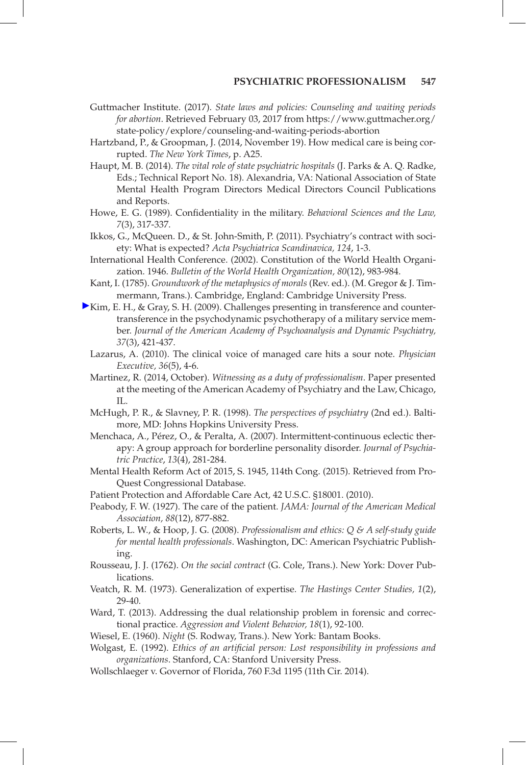- Guttmacher Institute. (2017). *State laws and policies: Counseling and waiting periods for abortion*. Retrieved February 03, 2017 from https://www.guttmacher.org/ state-policy/explore/counseling-and-waiting-periods-abortion
- Hartzband, P., & Groopman, J. (2014, November 19). How medical care is being corrupted. *The New York Times*, p. A25.
- Haupt, M. B. (2014). *The vital role of state psychiatric hospitals* (J. Parks & A. Q. Radke, Eds.; Technical Report No. 18). Alexandria, VA: National Association of State Mental Health Program Directors Medical Directors Council Publications and Reports.
- Howe, E. G. (1989). Confidentiality in the military. *Behavioral Sciences and the Law, 7*(3), 317-337.
- Ikkos, G., McQueen. D., & St. John-Smith, P. (2011). Psychiatry's contract with society: What is expected? *Acta Psychiatrica Scandinavica, 124*, 1-3.
- International Health Conference. (2002). Constitution of the World Health Organization. 1946. *Bulletin of the World Health Organization, 80*(12), 983-984.
- Kant, I. (1785). *Groundwork of the metaphysics of morals* (Rev. ed.). (M. Gregor & J. Timmermann, Trans.). Cambridge, England: Cambridge University Press.
- Kim, E. H., & Gray, S. H. (2009). Challenges presenting in transference and countertransference in the psychodynamic psychotherapy of a military service member. *Journal of the American Academy of Psychoanalysis and Dynamic Psychiatry, 37*(3), 421-437.
	- Lazarus, A. (2010). The clinical voice of managed care hits a sour note. *Physician Executive, 36*(5), 4-6.
	- Martinez, R. (2014, October). *Witnessing as a duty of professionalism*. Paper presented at the meeting of the American Academy of Psychiatry and the Law, Chicago, IL.
	- McHugh, P. R., & Slavney, P. R. (1998). *The perspectives of psychiatry* (2nd ed.). Baltimore, MD: Johns Hopkins University Press.
	- Menchaca, A., Pérez, O., & Peralta, A. (2007). Intermittent-continuous eclectic therapy: A group approach for borderline personality disorder. *Journal of Psychiatric Practice*, *13*(4), 281-284.
	- Mental Health Reform Act of 2015, S. 1945, 114th Cong. (2015). Retrieved from Pro-Quest Congressional Database.
	- Patient Protection and Affordable Care Act, 42 U.S.C. §18001. (2010).
	- Peabody, F. W. (1927). The care of the patient. *JAMA: Journal of the American Medical Association, 88*(12), 877-882.
	- Roberts, L. W., & Hoop, J. G. (2008). *Professionalism and ethics: Q & A self-study guide for mental health professionals*. Washington, DC: American Psychiatric Publishing.
	- Rousseau, J. J. (1762). *On the social contract* (G. Cole, Trans.). New York: Dover Publications.
	- Veatch, R. M. (1973). Generalization of expertise. *The Hastings Center Studies, 1*(2), 29-40.
	- Ward, T. (2013). Addressing the dual relationship problem in forensic and correctional practice. *Aggression and Violent Behavior, 18*(1), 92-100.
	- Wiesel, E. (1960). *Night* (S. Rodway, Trans.). New York: Bantam Books.
	- Wolgast, E. (1992). *Ethics of an artificial person: Lost responsibility in professions and organizations*. Stanford, CA: Stanford University Press.
	- Wollschlaeger v. Governor of Florida, 760 F.3d 1195 (11th Cir. 2014).